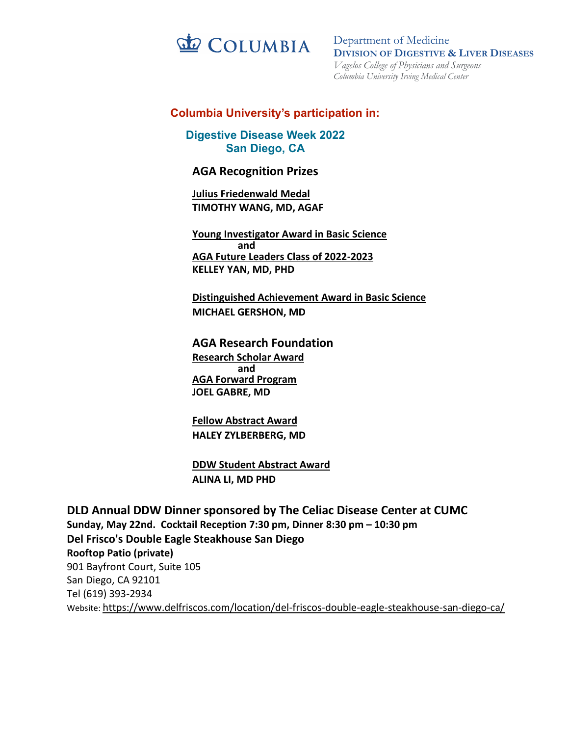

# **Columbia University's participation in:**

**Digestive Disease Week 2022** (5/18/2022 distribution) **San Diego, CA**

# **AGA Recognition Prizes**

**Julius Friedenwald Medal TIMOTHY WANG, MD, AGAF**

**Young Investigator Award in Basic Science and AGA Future Leaders Class of 2022-2023 KELLEY YAN, MD, PHD**

**Distinguished Achievement Award in Basic Science MICHAEL GERSHON, MD**

**AGA Research Foundation Research Scholar Award and AGA Forward Program JOEL GABRE, MD**

**Fellow Abstract Award HALEY ZYLBERBERG, MD**

**DDW Student Abstract Award ALINA LI, MD PHD**

**DLD Annual DDW Dinner sponsored by The Celiac Disease Center at CUMC Sunday, May 22nd. Cocktail Reception 7:30 pm, Dinner 8:30 pm – 10:30 pm Del Frisco's Double Eagle Steakhouse San Diego Rooftop Patio (private)** 901 Bayfront Court, Suite 105 San Diego, CA 92101 Tel (619) 393-2934 Website: https://www.delfriscos.com/location/del-friscos-double-eagle-steakhouse-san-diego-ca/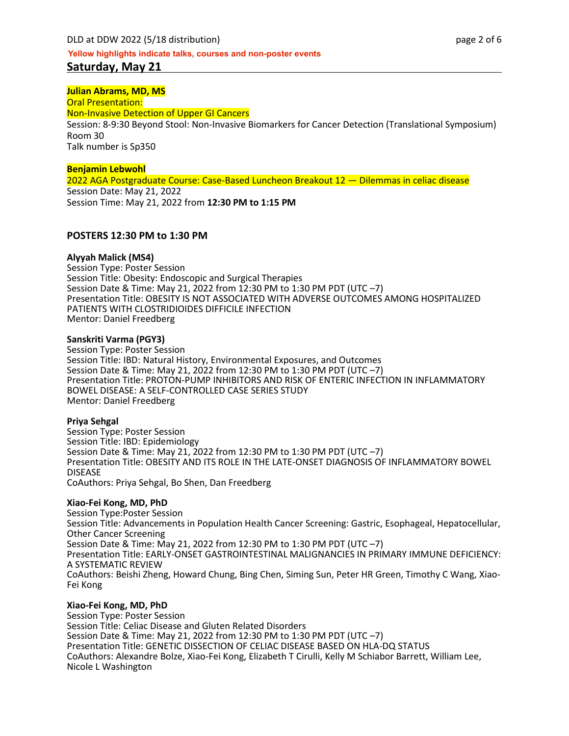## **Julian Abrams, MD, MS**

Oral Presentation: Non-Invasive Detection of Upper GI Cancers Session: 8-9:30 Beyond Stool: Non-Invasive Biomarkers for Cancer Detection (Translational Symposium) Room 30 Talk number is Sp350

### **Benjamin Lebwohl**

2022 AGA Postgraduate Course: Case-Based Luncheon Breakout 12 — Dilemmas in celiac disease Session Date: May 21, 2022 Session Time: May 21, 2022 from **12:30 PM to 1:15 PM**

### **POSTERS 12:30 PM to 1:30 PM**

### **Alyyah Malick (MS4)**

Session Type: Poster Session Session Title: Obesity: Endoscopic and Surgical Therapies Session Date & Time: May 21, 2022 from 12:30 PM to 1:30 PM PDT (UTC –7) Presentation Title: OBESITY IS NOT ASSOCIATED WITH ADVERSE OUTCOMES AMONG HOSPITALIZED PATIENTS WITH CLOSTRIDIOIDES DIFFICILE INFECTION Mentor: Daniel Freedberg

#### **Sanskriti Varma (PGY3)**

Session Type: Poster Session Session Title: IBD: Natural History, Environmental Exposures, and Outcomes Session Date & Time: May 21, 2022 from 12:30 PM to 1:30 PM PDT (UTC –7) Presentation Title: PROTON-PUMP INHIBITORS AND RISK OF ENTERIC INFECTION IN INFLAMMATORY BOWEL DISEASE: A SELF-CONTROLLED CASE SERIES STUDY Mentor: Daniel Freedberg

#### **Priya Sehgal**

Session Type: Poster Session Session Title: IBD: Epidemiology Session Date & Time: May 21, 2022 from 12:30 PM to 1:30 PM PDT (UTC –7) Presentation Title: OBESITY AND ITS ROLE IN THE LATE-ONSET DIAGNOSIS OF INFLAMMATORY BOWEL DISEASE CoAuthors: Priya Sehgal, Bo Shen, Dan Freedberg

#### **Xiao-Fei Kong, MD, PhD**

Session Type:Poster Session Session Title: Advancements in Population Health Cancer Screening: Gastric, Esophageal, Hepatocellular, Other Cancer Screening Session Date & Time: May 21, 2022 from 12:30 PM to 1:30 PM PDT (UTC –7) Presentation Title: EARLY-ONSET GASTROINTESTINAL MALIGNANCIES IN PRIMARY IMMUNE DEFICIENCY: A SYSTEMATIC REVIEW CoAuthors: Beishi Zheng, Howard Chung, Bing Chen, Siming Sun, Peter HR Green, Timothy C Wang, Xiao- Fei Kong

### **Xiao-Fei Kong, MD, PhD**

Session Type: Poster Session Session Title: Celiac Disease and Gluten Related Disorders Session Date & Time: May 21, 2022 from 12:30 PM to 1:30 PM PDT (UTC –7) Presentation Title: GENETIC DISSECTION OF CELIAC DISEASE BASED ON HLA-DQ STATUS CoAuthors: Alexandre Bolze, Xiao-Fei Kong, Elizabeth T Cirulli, Kelly M Schiabor Barrett, William Lee, Nicole L Washington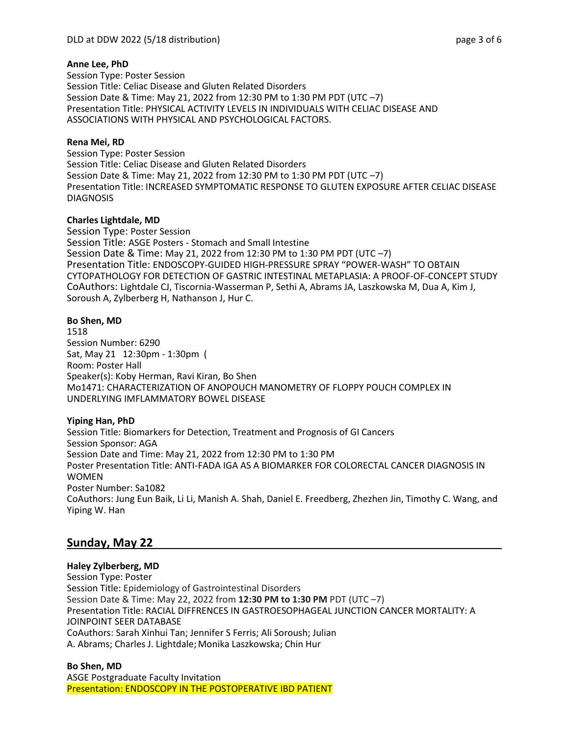## **Anne Lee, PhD**

Session Type: Poster Session Session Title: Celiac Disease and Gluten Related Disorders Session Date & Time: May 21, 2022 from 12:30 PM to 1:30 PM PDT (UTC –7) Presentation Title: PHYSICAL ACTIVITY LEVELS IN INDIVIDUALS WITH CELIAC DISEASE AND ASSOCIATIONS WITH PHYSICAL AND PSYCHOLOGICAL FACTORS.

## **Rena Mei, RD**

Session Type: Poster Session Session Title: Celiac Disease and Gluten Related Disorders Session Date & Time: May 21, 2022 from 12:30 PM to 1:30 PM PDT (UTC –7) Presentation Title: INCREASED SYMPTOMATIC RESPONSE TO GLUTEN EXPOSURE AFTER CELIAC DISEASE DIAGNOSIS

## **Charles Lightdale, MD**

Session Type: Poster Session Session Title: ASGE Posters - Stomach and Small Intestine Session Date & Time: May 21, 2022 from 12:30 PM to 1:30 PM PDT (UTC –7) Presentation Title: ENDOSCOPY-GUIDED HIGH-PRESSURE SPRAY "POWER-WASH" TO OBTAIN CYTOPATHOLOGY FOR DETECTION OF GASTRIC INTESTINAL METAPLASIA: A PROOF-OF-CONCEPT STUDY CoAuthors: Lightdale CJ, Tiscornia-Wasserman P, Sethi A, Abrams JA, Laszkowska M, Dua A, Kim J, Soroush A, Zylberberg H, Nathanson J, Hur C.

## **Bo Shen, MD**

1518 Session Number: 6290 Sat, May 21 12:30pm - 1:30pm ( Room: Poster Hall Speaker(s): Koby Herman, Ravi Kiran, Bo Shen Mo1471: CHARACTERIZATION OF ANOPOUCH MANOMETRY OF FLOPPY POUCH COMPLEX IN UNDERLYING IMFLAMMATORY BOWEL DISEASE

# **Yiping Han, PhD**

Session Title: Biomarkers for Detection, Treatment and Prognosis of GI Cancers Session Sponsor: AGA Session Date and Time: May 21, 2022 from 12:30 PM to 1:30 PM Poster Presentation Title: ANTI-FADA IGA AS A BIOMARKER FOR COLORECTAL CANCER DIAGNOSIS IN WOMEN Poster Number: Sa1082 CoAuthors: Jung Eun Baik, Li Li, Manish A. Shah, Daniel E. Freedberg, Zhezhen Jin, Timothy C. Wang, and Yiping W. Han

# **Sunday, May 22**

### **Haley Zylberberg, MD**

Session Type: Poster Session Title: Epidemiology of Gastrointestinal Disorders Session Date & Time: May 22, 2022 from **12:30 PM to 1:30 PM** PDT (UTC –7) Presentation Title: RACIAL DIFFRENCES IN GASTROESOPHAGEAL JUNCTION CANCER MORTALITY: A JOINPOINT SEER DATABASE CoAuthors: Sarah Xinhui Tan; Jennifer S Ferris; Ali Soroush; Julian A. Abrams; Charles J. Lightdale; Monika Laszkowska; Chin Hur

**Bo Shen, MD** ASGE Postgraduate Faculty Invitation Presentation: ENDOSCOPY IN THE POSTOPERATIVE IBD PATIENT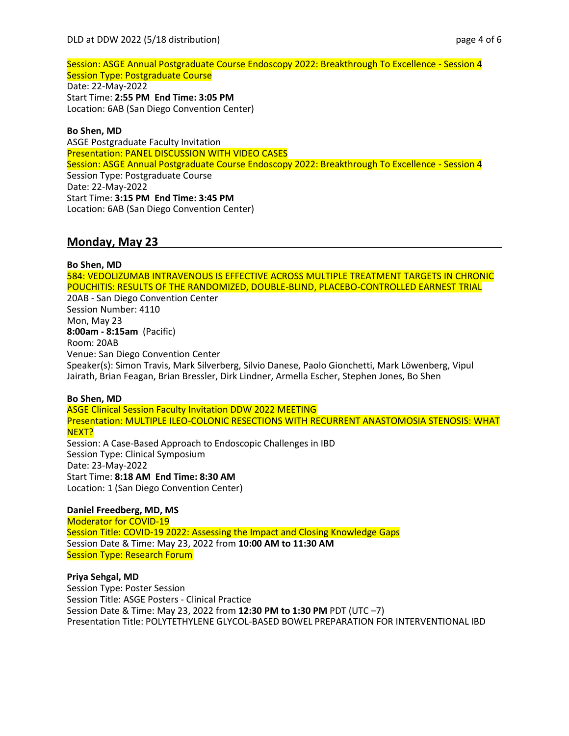Session: ASGE Annual Postgraduate Course Endoscopy 2022: Breakthrough To Excellence - Session 4 Session Type: Postgraduate Course Date: 22-May-2022 Start Time: **2:55 PM End Time: 3:05 PM** Location: 6AB (San Diego Convention Center)

### **Bo Shen, MD**

ASGE Postgraduate Faculty Invitation Presentation: PANEL DISCUSSION WITH VIDEO CASES Session: ASGE Annual Postgraduate Course Endoscopy 2022: Breakthrough To Excellence - Session 4 Session Type: Postgraduate Course Date: 22-May-2022 Start Time: **3:15 PM End Time: 3:45 PM** Location: 6AB (San Diego Convention Center)

# **Monday, May 23**

### **Bo Shen, MD** 584: VEDOLIZUMAB INTRAVENOUS IS EFFECTIVE ACROSS MULTIPLE TREATMENT TARGETS IN CHRONIC POUCHITIS: RESULTS OF THE RANDOMIZED, DOUBLE-BLIND, PLACEBO-CONTROLLED EARNEST TRIAL 20AB - San Diego Convention Center Session Number: 4110 Mon, May 23 **8:00am - 8:15am** (Pacific) Room: 20AB Venue: San Diego Convention Center Speaker(s): Simon Travis, Mark Silverberg, Silvio Danese, Paolo Gionchetti, Mark Löwenberg, Vipul Jairath, Brian Feagan, Brian Bressler, Dirk Lindner, Armella Escher, Stephen Jones, Bo Shen

### **Bo Shen, MD**

ASGE Clinical Session Faculty Invitation DDW 2022 MEETING Presentation: MULTIPLE ILEO-COLONIC RESECTIONS WITH RECURRENT ANASTOMOSIA STENOSIS: WHAT NEXT? Session: A Case-Based Approach to Endoscopic Challenges in IBD

Session Type: Clinical Symposium Date: 23-May-2022 Start Time: **8:18 AM End Time: 8:30 AM** Location: 1 (San Diego Convention Center)

### **Daniel Freedberg, MD, MS**

Moderator for COVID-19 Session Title: COVID-19 2022: Assessing the Impact and Closing Knowledge Gaps Session Date & Time: May 23, 2022 from **10:00 AM to 11:30 AM** Session Type: Research Forum

### **Priya Sehgal, MD**

Session Type: Poster Session Session Title: ASGE Posters - Clinical Practice Session Date & Time: May 23, 2022 from **12:30 PM to 1:30 PM** PDT (UTC –7) Presentation Title: POLYTETHYLENE GLYCOL-BASED BOWEL PREPARATION FOR INTERVENTIONAL IBD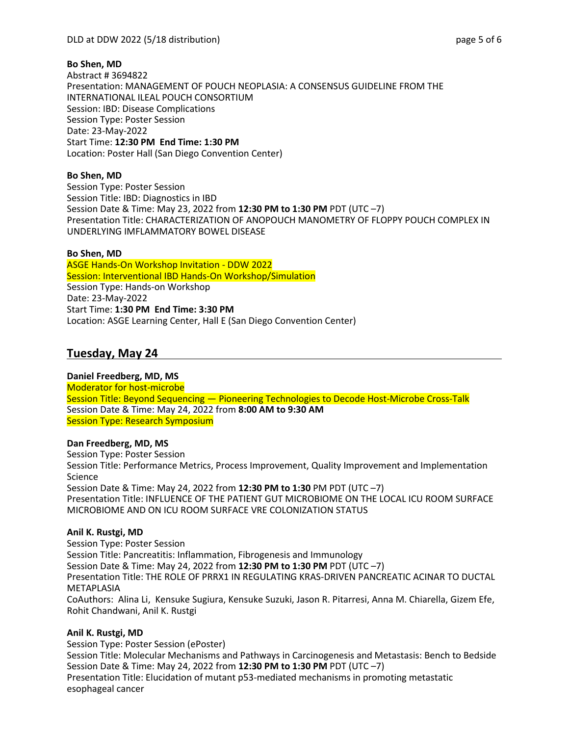## **Bo Shen, MD**

Abstract # 3694822 Presentation: MANAGEMENT OF POUCH NEOPLASIA: A CONSENSUS GUIDELINE FROM THE INTERNATIONAL ILEAL POUCH CONSORTIUM Session: IBD: Disease Complications Session Type: Poster Session Date: 23-May-2022 Start Time: **12:30 PM End Time: 1:30 PM** Location: Poster Hall (San Diego Convention Center)

# **Bo Shen, MD**

Session Type: Poster Session Session Title: IBD: Diagnostics in IBD Session Date & Time: May 23, 2022 from **12:30 PM to 1:30 PM** PDT (UTC –7) Presentation Title: CHARACTERIZATION OF ANOPOUCH MANOMETRY OF FLOPPY POUCH COMPLEX IN UNDERLYING IMFLAMMATORY BOWEL DISEASE

## **Bo Shen, MD**

ASGE Hands-On Workshop Invitation - DDW 2022 Session: Interventional IBD Hands-On Workshop/Simulation Session Type: Hands-on Workshop Date: 23-May-2022 Start Time: **1:30 PM End Time: 3:30 PM** Location: ASGE Learning Center, Hall E (San Diego Convention Center)

# **Tuesday, May 24**

# **Daniel Freedberg, MD, MS**

Moderator for host-microbe Session Title: Beyond Sequencing - Pioneering Technologies to Decode Host-Microbe Cross-Talk Session Date & Time: May 24, 2022 from **8:00 AM to 9:30 AM** Session Type: Research Symposium

### **Dan Freedberg, MD, MS**

Session Type: Poster Session Session Title: Performance Metrics, Process Improvement, Quality Improvement and Implementation Science Session Date & Time: May 24, 2022 from **12:30 PM to 1:30** PM PDT (UTC –7) Presentation Title: INFLUENCE OF THE PATIENT GUT MICROBIOME ON THE LOCAL ICU ROOM SURFACE MICROBIOME AND ON ICU ROOM SURFACE VRE COLONIZATION STATUS

### **Anil K. Rustgi, MD**

Session Type: Poster Session Session Title: Pancreatitis: Inflammation, Fibrogenesis and Immunology Session Date & Time: May 24, 2022 from **12:30 PM to 1:30 PM** PDT (UTC –7) Presentation Title: THE ROLE OF PRRX1 IN REGULATING KRAS-DRIVEN PANCREATIC ACINAR TO DUCTAL METAPLASIA CoAuthors: Alina Li, Kensuke Sugiura, Kensuke Suzuki, Jason R. Pitarresi, Anna M. Chiarella, Gizem Efe, Rohit Chandwani, Anil K. Rustgi

# **Anil K. Rustgi, MD**

Session Type: Poster Session (ePoster) Session Title: Molecular Mechanisms and Pathways in Carcinogenesis and Metastasis: Bench to Bedside Session Date & Time: May 24, 2022 from **12:30 PM to 1:30 PM** PDT (UTC –7) Presentation Title: Elucidation of mutant p53-mediated mechanisms in promoting metastatic esophageal cancer